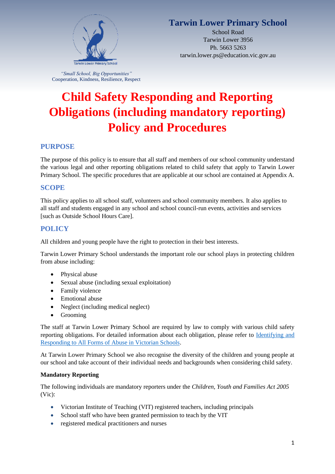

# **Tarwin Lower Primary School**

School Road Tarwin Lower 3956 Ph. 5663 5263 tarwin.lower.ps@education.vic.gov.au

*"Small School, Big Opportunities"* Cooperation, Kindness, Resilience, Respect

# **Child Safety Responding and Reporting Obligations (including mandatory reporting) Policy and Procedures**

# **PURPOSE**

The purpose of this policy is to ensure that all staff and members of our school community understand the various legal and other reporting obligations related to child safety that apply to Tarwin Lower Primary School. The specific procedures that are applicable at our school are contained at Appendix A.

# **SCOPE**

This policy applies to all school staff, volunteers and school community members. It also applies to all staff and students engaged in any school and school council-run events, activities and services [such as Outside School Hours Care].

# **POLICY**

All children and young people have the right to protection in their best interests.

Tarwin Lower Primary School understands the important role our school plays in protecting children from abuse including:

- Physical abuse
- Sexual abuse (including sexual exploitation)
- Family violence
- Emotional abuse
- Neglect (including medical neglect)
- Grooming

The staff at Tarwin Lower Primary School are required by law to comply with various child safety reporting obligations. For detailed information about each obligation, please refer to [Identifying and](https://www.education.vic.gov.au/Documents/about/programs/health/protect/ChildSafeStandard5_SchoolsGuide.pdf)  [Responding to All Forms of Abuse in Victorian Schools.](https://www.education.vic.gov.au/Documents/about/programs/health/protect/ChildSafeStandard5_SchoolsGuide.pdf)

At Tarwin Lower Primary School we also recognise the diversity of the children and young people at our school and take account of their individual needs and backgrounds when considering child safety.

# **Mandatory Reporting**

The following individuals are mandatory reporters under the *Children, Youth and Families Act 2005* (Vic):

- Victorian Institute of Teaching (VIT) registered teachers, including principals
- School staff who have been granted permission to teach by the VIT
- registered medical practitioners and nurses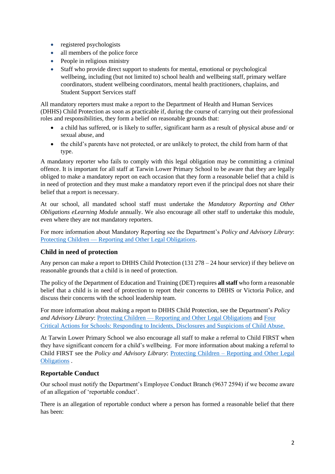- registered psychologists
- all members of the police force
- People in religious ministry
- Staff who provide direct support to students for mental, emotional or psychological wellbeing, including (but not limited to) school health and wellbeing staff, primary welfare coordinators, student wellbeing coordinators, mental health practitioners, chaplains, and Student Support Services staff

All mandatory reporters must make a report to the Department of Health and Human Services (DHHS) Child Protection as soon as practicable if, during the course of carrying out their professional roles and responsibilities, they form a belief on reasonable grounds that:

- a child has suffered, or is likely to suffer, significant harm as a result of physical abuse and/ or sexual abuse, and
- the child's parents have not protected, or are unlikely to protect, the child from harm of that type.

A mandatory reporter who fails to comply with this legal obligation may be committing a criminal offence. It is important for all staff at Tarwin Lower Primary School to be aware that they are legally obliged to make a mandatory report on each occasion that they form a reasonable belief that a child is in need of protection and they must make a mandatory report even if the principal does not share their belief that a report is necessary.

At our school, all mandated school staff must undertake the *Mandatory Reporting and Other Obligations eLearning Module* annually. We also encourage all other staff to undertake this module, even where they are not mandatory reporters.

For more information about Mandatory Reporting see the Department's *Policy and Advisory Library*: Protecting Children — [Reporting and Other Legal Obligations.](https://www2.education.vic.gov.au/pal/protecting-children/policy)

# **Child in need of protection**

Any person can make a report to DHHS Child Protection (131 278 – 24 hour service) if they believe on reasonable grounds that a child is in need of protection.

The policy of the Department of Education and Training (DET) requires **all staff** who form a reasonable belief that a child is in need of protection to report their concerns to DHHS or Victoria Police, and discuss their concerns with the school leadership team.

For more information about making a report to DHHS Child Protection, see the Department's *Policy and Advisory Library*: Protecting Children — [Reporting and Other Legal Obligations](https://www2.education.vic.gov.au/pal/protecting-children/policy) and [Four](https://www.education.vic.gov.au/Documents/about/programs/health/protect/FourCriticalActions_ChildAbuse.pdf)  [Critical Actions for Schools: Responding to Incidents, Disclosures and Suspicions of Child Abuse.](https://www.education.vic.gov.au/Documents/about/programs/health/protect/FourCriticalActions_ChildAbuse.pdf)

At Tarwin Lower Primary School we also encourage all staff to make a referral to Child FIRST when they have significant concern for a child's wellbeing. For more information about making a referral to Child FIRST see the *Policy and Advisory Library*: Protecting Children – [Reporting and Other Legal](https://www2.education.vic.gov.au/pal/protecting-children/policy)  [Obligations](https://www2.education.vic.gov.au/pal/protecting-children/policy) .

# **Reportable Conduct**

Our school must notify the Department's Employee Conduct Branch (9637 2594) if we become aware of an allegation of 'reportable conduct'.

There is an allegation of reportable conduct where a person has formed a reasonable belief that there has been: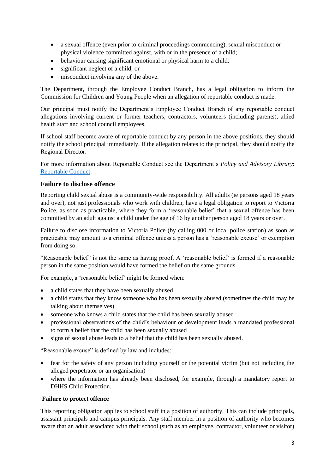- a sexual offence (even prior to criminal proceedings commencing), sexual misconduct or physical violence committed against, with or in the presence of a child;
- behaviour causing significant emotional or physical harm to a child;
- significant neglect of a child; or
- misconduct involving any of the above.

The Department, through the Employee Conduct Branch, has a legal obligation to inform the Commission for Children and Young People when an allegation of reportable conduct is made.

Our principal must notify the Department's Employee Conduct Branch of any reportable conduct allegations involving current or former teachers, contractors, volunteers (including parents), allied health staff and school council employees.

If school staff become aware of reportable conduct by any person in the above positions, they should notify the school principal immediately. If the allegation relates to the principal, they should notify the Regional Director.

For more information about Reportable Conduct see the Department's *Policy and Advisory Library*: [Reportable Conduct.](https://www2.education.vic.gov.au/pal/reportable-conduct-scheme/policy)

# **Failure to disclose offence**

Reporting child sexual abuse is a community-wide responsibility. All adults (ie persons aged 18 years and over), not just professionals who work with children, have a legal obligation to report to Victoria Police, as soon as practicable, where they form a 'reasonable belief' that a sexual offence has been committed by an adult against a child under the age of 16 by another person aged 18 years or over.

Failure to disclose information to Victoria Police (by calling 000 or local police station) as soon as practicable may amount to a criminal offence unless a person has a 'reasonable excuse' or exemption from doing so.

"Reasonable belief" is not the same as having proof. A 'reasonable belief' is formed if a reasonable person in the same position would have formed the belief on the same grounds.

For example, a 'reasonable belief' might be formed when:

- a child states that they have been sexually abused
- a child states that they know someone who has been sexually abused (sometimes the child may be talking about themselves)
- someone who knows a child states that the child has been sexually abused
- professional observations of the child's behaviour or development leads a mandated professional to form a belief that the child has been sexually abused
- signs of sexual abuse leads to a belief that the child has been sexually abused.

"Reasonable excuse" is defined by law and includes:

- fear for the safety of any person including yourself or the potential victim (but not including the alleged perpetrator or an organisation)
- where the information has already been disclosed, for example, through a mandatory report to DHHS Child Protection.

#### **Failure to protect offence**

This reporting obligation applies to school staff in a position of authority. This can include principals, assistant principals and campus principals. Any staff member in a position of authority who becomes aware that an adult associated with their school (such as an employee, contractor, volunteer or visitor)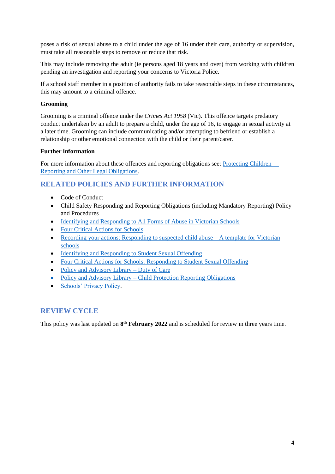poses a risk of sexual abuse to a child under the age of 16 under their care, authority or supervision, must take all reasonable steps to remove or reduce that risk.

This may include removing the adult (ie persons aged 18 years and over) from working with children pending an investigation and reporting your concerns to Victoria Police.

If a school staff member in a position of authority fails to take reasonable steps in these circumstances, this may amount to a criminal offence.

### **Grooming**

Grooming is a criminal offence under the *Crimes Act 1958* (Vic). This offence targets predatory conduct undertaken by an adult to prepare a child, under the age of 16, to engage in sexual activity at a later time. Grooming can include communicating and/or attempting to befriend or establish a relationship or other emotional connection with the child or their parent/carer.

#### **Further information**

For more information about these offences and reporting obligations see: [Protecting Children —](https://www2.education.vic.gov.au/pal/protecting-children/policy) [Reporting and Other Legal Obligations.](https://www2.education.vic.gov.au/pal/protecting-children/policy)

# **RELATED POLICIES AND FURTHER INFORMATION**

- Code of Conduct
- Child Safety Responding and Reporting Obligations (including Mandatory Reporting) Policy and Procedures
- [Identifying and Responding to All Forms of Abuse in Victorian Schools](https://www.education.vic.gov.au/Documents/about/programs/health/protect/ChildSafeStandard5_SchoolsGuide.pdf)
- [Four Critical Actions for Schools](https://www.education.vic.gov.au/Documents/about/programs/health/protect/FourCriticalActions_ChildAbuse.pdf)
- [Recording your actions: Responding to suspected child abuse –](https://www.education.vic.gov.au/Documents/about/programs/health/protect/PROTECT_Schoolstemplate.pdf) A template for Victorian [schools](https://www.education.vic.gov.au/Documents/about/programs/health/protect/PROTECT_Schoolstemplate.pdf)
- [Identifying and Responding to Student Sexual Offending](https://www.education.vic.gov.au/Documents/about/programs/health/protect/SSO_Policy.pdf)
- [Four Critical Actions for Schools: Responding to Student Sexual Offending](https://www.education.vic.gov.au/Documents/about/programs/health/protect/FourCriticalActions_SSO.pdf)
- [Policy and Advisory Library –](https://www.education.vic.gov.au/school/principals/spag/safety/Pages/dutyofcare.aspx) Duty of Care
- Policy and Advisory Library [Child Protection Reporting Obligations](https://www.education.vic.gov.au/school/principals/spag/safety/Pages/childprotectobligation.aspx)
- [Schools' Privacy Policy.](https://www.education.vic.gov.au/Pages/schoolsprivacypolicy.aspx)

# **REVIEW CYCLE**

This policy was last updated on 8<sup>th</sup> February 2022 and is scheduled for review in three years time.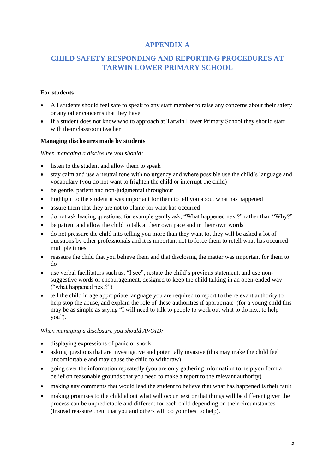# **APPENDIX A**

# **CHILD SAFETY RESPONDING AND REPORTING PROCEDURES AT TARWIN LOWER PRIMARY SCHOOL**

### **For students**

- All students should feel safe to speak to any staff member to raise any concerns about their safety or any other concerns that they have.
- If a student does not know who to approach at Tarwin Lower Primary School they should start with their classroom teacher

#### **Managing disclosures made by students**

*When managing a disclosure you should:*

- listen to the student and allow them to speak
- stay calm and use a neutral tone with no urgency and where possible use the child's language and vocabulary (you do not want to frighten the child or interrupt the child)
- be gentle, patient and non-judgmental throughout
- highlight to the student it was important for them to tell you about what has happened
- assure them that they are not to blame for what has occurred
- do not ask leading questions, for example gently ask, "What happened next?" rather than "Why?"
- be patient and allow the child to talk at their own pace and in their own words
- do not pressure the child into telling you more than they want to, they will be asked a lot of questions by other professionals and it is important not to force them to retell what has occurred multiple times
- reassure the child that you believe them and that disclosing the matter was important for them to do
- use verbal facilitators such as, "I see", restate the child's previous statement, and use nonsuggestive words of encouragement, designed to keep the child talking in an open-ended way ("what happened next?")
- tell the child in age appropriate language you are required to report to the relevant authority to help stop the abuse, and explain the role of these authorities if appropriate (for a young child this may be as simple as saying "I will need to talk to people to work out what to do next to help you").

#### *When managing a disclosure you should AVOID:*

- displaying expressions of panic or shock
- asking questions that are investigative and potentially invasive (this may make the child feel uncomfortable and may cause the child to withdraw)
- going over the information repeatedly (you are only gathering information to help you form a belief on reasonable grounds that you need to make a report to the relevant authority)
- making any comments that would lead the student to believe that what has happened is their fault
- making promises to the child about what will occur next or that things will be different given the process can be unpredictable and different for each child depending on their circumstances (instead reassure them that you and others will do your best to help).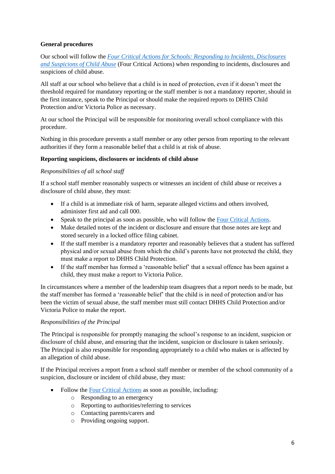# **General procedures**

Our school will follow the *[Four Critical Actions for Schools: Responding to Incidents, Disclosures](https://www.education.vic.gov.au/Documents/about/programs/health/protect/FourCriticalActions_ChildAbuse.pdf)  [and Suspicions of Child Abuse](https://www.education.vic.gov.au/Documents/about/programs/health/protect/FourCriticalActions_ChildAbuse.pdf)* (Four Critical Actions) when responding to incidents, disclosures and suspicions of child abuse.

All staff at our school who believe that a child is in need of protection, even if it doesn't meet the threshold required for mandatory reporting or the staff member is not a mandatory reporter, should in the first instance, speak to the Principal or should make the required reports to DHHS Child Protection and/or Victoria Police as necessary.

At our school the Principal will be responsible for monitoring overall school compliance with this procedure.

Nothing in this procedure prevents a staff member or any other person from reporting to the relevant authorities if they form a reasonable belief that a child is at risk of abuse.

### **Reporting suspicions, disclosures or incidents of child abuse**

#### *Responsibilities of all school staff*

If a school staff member reasonably suspects or witnesses an incident of child abuse or receives a disclosure of child abuse, they must:

- If a child is at immediate risk of harm, separate alleged victims and others involved, administer first aid and call 000.
- Speak to the principal as soon as possible, who will follow the [Four Critical Actions.](https://www.education.vic.gov.au/Documents/about/programs/health/protect/FourCriticalActions_ChildAbuse.pdf)
- Make detailed notes of the incident or disclosure and ensure that those notes are kept and stored securely in a locked office filing cabinet.
- If the staff member is a mandatory reporter and reasonably believes that a student has suffered physical and/or sexual abuse from which the child's parents have not protected the child, they must make a report to DHHS Child Protection.
- If the staff member has formed a 'reasonable belief' that a sexual offence has been against a child, they must make a report to Victoria Police.

In circumstances where a member of the leadership team disagrees that a report needs to be made, but the staff member has formed a 'reasonable belief' that the child is in need of protection and/or has been the victim of sexual abuse, the staff member must still contact DHHS Child Protection and/or Victoria Police to make the report.

# *Responsibilities of the Principal*

The Principal is responsible for promptly managing the school's response to an incident, suspicion or disclosure of child abuse, and ensuring that the incident, suspicion or disclosure is taken seriously. The Principal is also responsible for responding appropriately to a child who makes or is affected by an allegation of child abuse.

If the Principal receives a report from a school staff member or member of the school community of a suspicion, disclosure or incident of child abuse, they must:

- Follow the [Four Critical Actions](https://www.education.vic.gov.au/Documents/about/programs/health/protect/FourCriticalActions_ChildAbuse.pdf) as soon as possible, including:
	- o Responding to an emergency
	- o Reporting to authorities/referring to services
	- o Contacting parents/carers and
	- o Providing ongoing support.